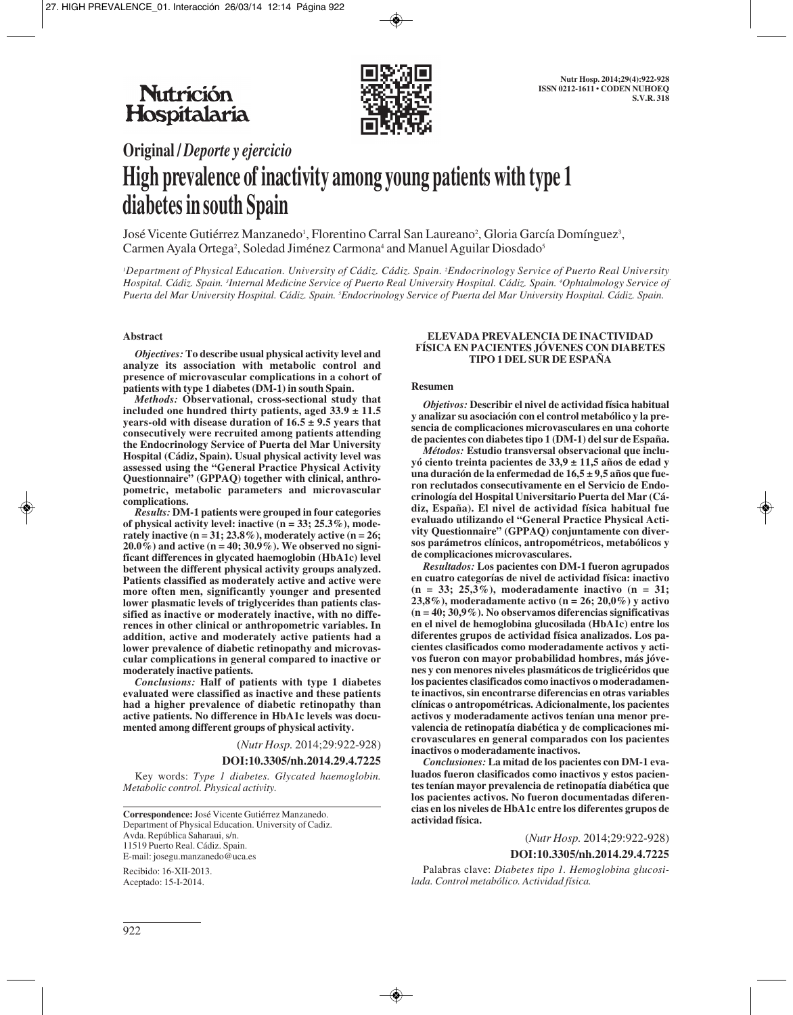

# **Original /** *Deporte y ejercicio* **High prevalence of inactivity among young patients with type 1 diabetes in south Spain**

José Vicente Gutiérrez Manzanedo<sup>1</sup>, Florentino Carral San Laureano<sup>2</sup>, Gloria García Domínguez<sup>3</sup>, Carmen Ayala Ortega<sup>2</sup>, Soledad Jiménez Carmona<sup>4</sup> and Manuel Aguilar Diosdado<sup>5</sup>

*1 Department of Physical Education. University of Cádiz. Cádiz. Spain. 2 Endocrinology Service of Puerto Real University Hospital. Cádiz. Spain. 3 Internal Medicine Service of Puerto Real University Hospital. Cádiz. Spain. 4 Ophtalmology Service of Puerta del Mar University Hospital. Cádiz. Spain. 5 Endocrinology Service of Puerta del Mar University Hospital. Cádiz. Spain.*

#### **Abstract**

*Objectives:* **To describe usual physical activity level and analyze its association with metabolic control and presence of microvascular complications in a cohort of patients with type 1 diabetes (DM-1) in south Spain.**

*Methods:* **Observational, cross-sectional study that included one hundred thirty patients, aged 33.9 ± 11.5 years-old with disease duration of 16.5 ± 9.5 years that consecutively were recruited among patients attending the Endocrinology Service of Puerta del Mar University Hospital (Cádiz, Spain). Usual physical activity level was assessed using the "General Practice Physical Activity Questionnaire" (GPPAQ) together with clinical, anthropometric, metabolic parameters and microvascular complications.**

*Results:* **DM-1 patients were grouped in four categories of physical activity level: inactive (n = 33; 25.3%), moderately inactive (n = 31; 23.8%), moderately active (n = 26; 20.0%) and active (n = 40; 30.9%). We observed no significant differences in glycated haemoglobin (HbA1c) level between the different physical activity groups analyzed. Patients classified as moderately active and active were more often men, significantly younger and presented lower plasmatic levels of triglycerides than patients classified as inactive or moderately inactive, with no differences in other clinical or anthropometric variables. In addition, active and moderately active patients had a lower prevalence of diabetic retinopathy and microvascular complications in general compared to inactive or moderately inactive patients.** 

*Conclusions:* **Half of patients with type 1 diabetes evaluated were classified as inactive and these patients had a higher prevalence of diabetic retinopathy than active patients. No difference in HbA1c levels was documented among different groups of physical activity.**

> (*Nutr Hosp.* 2014;29:922-928) **DOI:10.3305/nh.2014.29.4.7225**

Key words: *Type 1 diabetes. Glycated haemoglobin. Metabolic control. Physical activity.*

**Correspondence:** José Vicente Gutiérrez Manzanedo. Department of Physical Education. University of Cadiz. Avda. República Saharaui, s/n. 11519 Puerto Real. Cádiz. Spain. E-mail: josegu.manzanedo@uca.es

Recibido: 16-XII-2013. Aceptado: 15-I-2014.

#### **ELEVADA PREVALENCIA DE INACTIVIDAD FÍSICA EN PACIENTES JÓVENES CON DIABETES TIPO 1 DEL SUR DE ESPAÑA**

#### **Resumen**

*Objetivos:* **Describir el nivel de actividad física habitual y analizar su asociación con el control metabólico y la presencia de complicaciones microvasculares en una cohorte de pacientes con diabetes tipo 1 (DM-1) del sur de España.**

*Métodos:* **Estudio transversal observacional que incluyó ciento treinta pacientes de 33,9 ± 11,5 años de edad y una duración de la enfermedad de 16,5 ± 9,5 años que fueron reclutados consecutivamente en el Servicio de Endocrinología del Hospital Universitario Puerta del Mar (Cádiz, España). El nivel de actividad física habitual fue evaluado utilizando el "General Practice Physical Activity Questionnaire" (GPPAQ) conjuntamente con diversos parámetros clínicos, antropométricos, metabólicos y de complicaciones microvasculares.**

*Resultados:* **Los pacientes con DM-1 fueron agrupados en cuatro categorías de nivel de actividad física: inactivo (n = 33; 25,3%), moderadamente inactivo (n = 31; 23,8%), moderadamente activo (n = 26; 20,0%) y activo (n = 40; 30,9%). No observamos diferencias significativas en el nivel de hemoglobina glucosilada (HbA1c) entre los diferentes grupos de actividad física analizados. Los pacientes clasificados como moderadamente activos y activos fueron con mayor probabilidad hombres, más jóvenes y con menores niveles plasmáticos de triglicéridos que los pacientes clasificados como inactivos o moderadamente inactivos, sin encontrarse diferencias en otras variables clínicas o antropométricas. Adicionalmente, los pacientes activos y moderadamente activos tenían una menor prevalencia de retinopatía diabética y de complicaciones microvasculares en general comparados con los pacientes inactivos o moderadamente inactivos.** 

*Conclusiones:* **La mitad de los pacientes con DM-1 evaluados fueron clasificados como inactivos y estos pacientes tenían mayor prevalencia de retinopatía diabética que los pacientes activos. No fueron documentadas diferencias en los niveles de HbA1c entre los diferentes grupos de actividad física.**

(*Nutr Hosp.* 2014;29:922-928)

## **DOI:10.3305/nh.2014.29.4.7225**

Palabras clave: *Diabetes tipo 1. Hemoglobina glucosilada. Control metabólico. Actividad física.*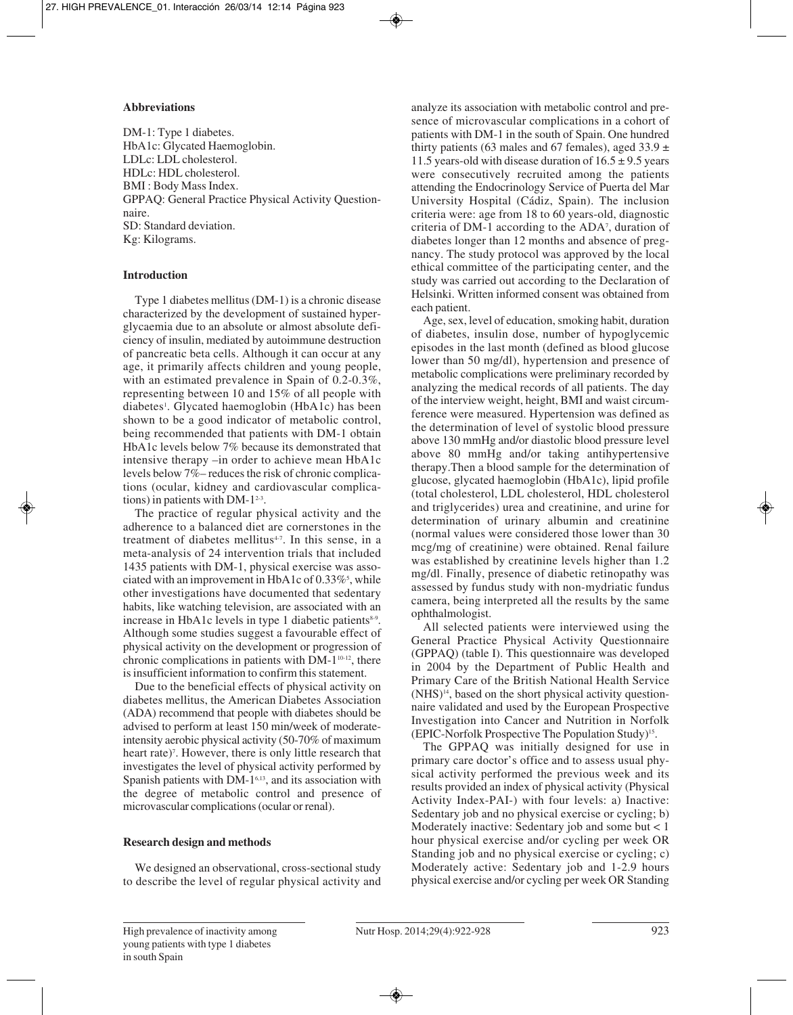# **Abbreviations**

DM-1: Type 1 diabetes. HbA1c: Glycated Haemoglobin. LDLc: LDL cholesterol. HDLc: HDL cholesterol. BMI : Body Mass Index. GPPAQ: General Practice Physical Activity Questionnaire. SD: Standard deviation. Kg: Kilograms.

# **Introduction**

Type 1 diabetes mellitus (DM-1) is a chronic disease characterized by the development of sustained hyperglycaemia due to an absolute or almost absolute deficiency of insulin, mediated by autoimmune destruction of pancreatic beta cells. Although it can occur at any age, it primarily affects children and young people, with an estimated prevalence in Spain of 0.2-0.3%, representing between 10 and 15% of all people with diabetes1 . Glycated haemoglobin (HbA1c) has been shown to be a good indicator of metabolic control, being recommended that patients with DM-1 obtain HbA1c levels below 7% because its demonstrated that intensive therapy –in order to achieve mean HbA1c levels below 7%– reduces the risk of chronic complications (ocular, kidney and cardiovascular complications) in patients with DM- $1^{2-3}$ .

The practice of regular physical activity and the adherence to a balanced diet are cornerstones in the treatment of diabetes mellitus $47$ . In this sense, in a meta-analysis of 24 intervention trials that included 1435 patients with DM-1, physical exercise was associated with an improvement in HbA1c of  $0.33\%$ <sup>5</sup>, while other investigations have documented that sedentary habits, like watching television, are associated with an increase in HbA1c levels in type 1 diabetic patients $8-9$ . Although some studies suggest a favourable effect of physical activity on the development or progression of chronic complications in patients with DM-110-12, there is insufficient information to confirm this statement.

Due to the beneficial effects of physical activity on diabetes mellitus, the American Diabetes Association (ADA) recommend that people with diabetes should be advised to perform at least 150 min/week of moderateintensity aerobic physical activity (50-70% of maximum heart rate)<sup>7</sup>. However, there is only little research that investigates the level of physical activity performed by Spanish patients with DM-1<sup>6,13</sup>, and its association with the degree of metabolic control and presence of microvascular complications (ocular or renal).

# **Research design and methods**

We designed an observational, cross-sectional study to describe the level of regular physical activity and analyze its association with metabolic control and pre sence of microvascular complications in a cohort of patients with DM-1 in the south of Spain. One hundred thirty patients (63 males and 67 females), aged  $33.9 \pm$ 11.5 years-old with disease duration of  $16.5 \pm 9.5$  years were consecutively recruited among the patients attending the Endocrinology Service of Puerta del Mar University Hospital (Cádiz, Spain). The inclusion criteria were: age from 18 to 60 years-old, diagnostic criteria of DM-1 according to the ADA7 , duration of diabetes longer than 12 months and absence of pregnancy. The study protocol was approved by the local ethical committee of the participating center, and the study was carried out according to the Declaration of Helsinki. Written informed consent was obtained from each patient.

Age, sex, level of education, smoking habit, duration of diabetes, insulin dose, number of hypoglycemic episodes in the last month (defined as blood glucose lower than 50 mg/dl), hypertension and presence of metabolic complications were preliminary recorded by analyzing the medical records of all patients. The day of the interview weight, height, BMI and waist circumference were measured. Hypertension was defined as the determination of level of systolic blood pressure above 130 mmHg and/or diastolic blood pressure level above 80 mmHg and/or taking antihypertensive therapy.Then a blood sample for the determination of glucose, glycated haemoglobin (HbA1c), lipid profile (total cholesterol, LDL cholesterol, HDL cholesterol and triglycerides) urea and creatinine, and urine for determination of urinary albumin and creatinine (normal values were considered those lower than 30 mcg/mg of creatinine) were obtained. Renal failure was established by creatinine levels higher than 1.2 mg/dl. Finally, presence of diabetic retinopathy was assessed by fundus study with non-mydriatic fundus camera, being interpreted all the results by the same ophthalmologist.

All selected patients were interviewed using the General Practice Physical Activity Questionnaire (GPPAQ) (table I). This questionnaire was developed in 2004 by the Department of Public Health and Primary Care of the British National Health Service  $(NHS)^{14}$ , based on the short physical activity questionnaire validated and used by the European Prospective Investigation into Cancer and Nutrition in Norfolk (EPIC-Norfolk Prospective The Population Study)15.

The GPPAQ was initially designed for use in primary care doctor's office and to assess usual phy sical activity performed the previous week and its results provided an index of physical activity (Physical Activity Index-PAI-) with four levels: a) Inactive: Sedentary job and no physical exercise or cycling; b) Moderately inactive: Sedentary job and some but < 1 hour physical exercise and/or cycling per week OR Standing job and no physical exercise or cycling; c) Moderately active: Sedentary job and 1-2.9 hours physical exercise and/or cycling per week OR Standing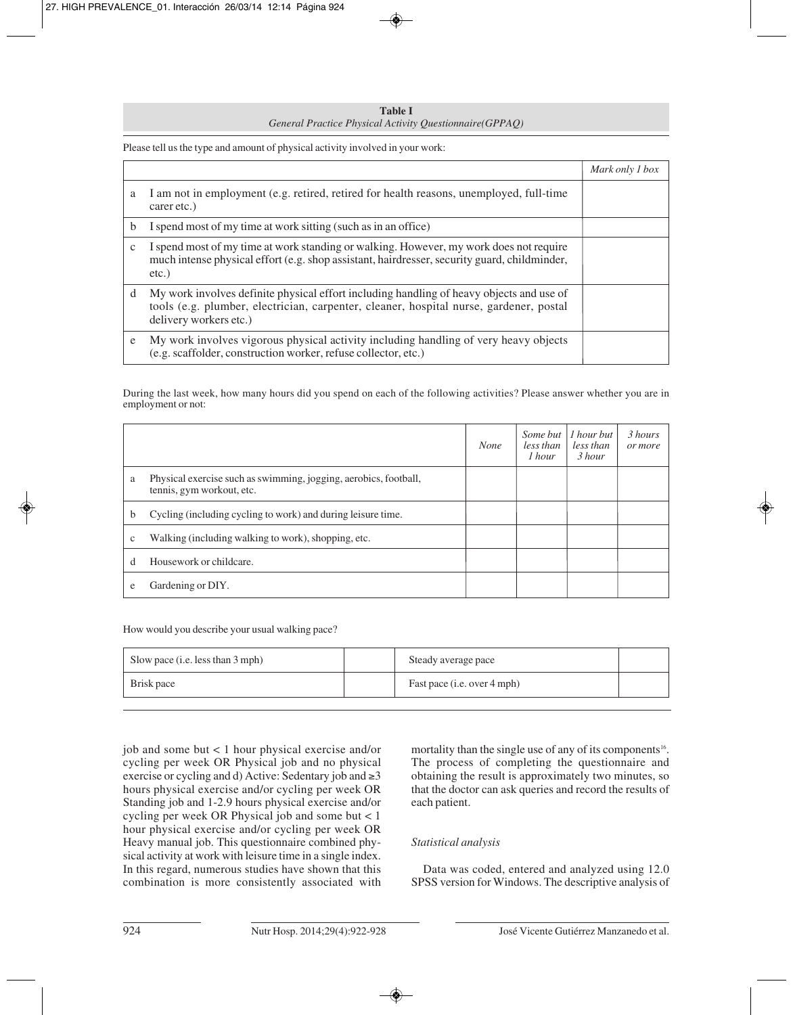**Table I** *General Practice Physical Activity Questionnaire(GPPAQ)*

Please tell us the type and amount of physical activity involved in your work:

|   |                                                                                                                                                                                                              | Mark only 1 box |
|---|--------------------------------------------------------------------------------------------------------------------------------------------------------------------------------------------------------------|-----------------|
| a | I am not in employment (e.g. retired, retired for health reasons, unemployed, full-time<br>carer etc.)                                                                                                       |                 |
| b | I spend most of my time at work sitting (such as in an office)                                                                                                                                               |                 |
| c | I spend most of my time at work standing or walking. However, my work does not require<br>much intense physical effort (e.g. shop assistant, hairdresser, security guard, childminder,<br>$etc.$ )           |                 |
| d | My work involves definite physical effort including handling of heavy objects and use of<br>tools (e.g. plumber, electrician, carpenter, cleaner, hospital nurse, gardener, postal<br>delivery workers etc.) |                 |
| e | My work involves vigorous physical activity including handling of very heavy objects<br>(e.g. scaffolder, construction worker, refuse collector, etc.)                                                       |                 |

During the last week, how many hours did you spend on each of the following activities? Please answer whether you are in employment or not:

|              |                                                                                               | <b>None</b> | Some but<br>less than<br>1 hour | 1 hour but<br>less than<br>3 hour | 3 hours<br>or more |
|--------------|-----------------------------------------------------------------------------------------------|-------------|---------------------------------|-----------------------------------|--------------------|
| a            | Physical exercise such as swimming, jogging, aerobics, football,<br>tennis, gym workout, etc. |             |                                 |                                   |                    |
| b            | Cycling (including cycling to work) and during leisure time.                                  |             |                                 |                                   |                    |
| $\mathbf{c}$ | Walking (including walking to work), shopping, etc.                                           |             |                                 |                                   |                    |
| d            | Housework or childcare.                                                                       |             |                                 |                                   |                    |
| e            | Gardening or DIY.                                                                             |             |                                 |                                   |                    |

How would you describe your usual walking pace?

| Slow pace (i.e. less than 3 mph) | Steady average pace         |  |
|----------------------------------|-----------------------------|--|
| Brisk pace                       | Fast pace (i.e. over 4 mph) |  |

job and some but < 1 hour physical exercise and/or cycling per week OR Physical job and no physical exercise or cycling and d) Active: Sedentary job and ≥3 hours physical exercise and/or cycling per week OR Standing job and 1-2.9 hours physical exercise and/or cycling per week OR Physical job and some but < 1 hour physical exercise and/or cycling per week OR Heavy manual job. This questionnaire combined phy sical activity at work with leisure time in a single index. In this regard, numerous studies have shown that this combination is more consistently associated with

mortality than the single use of any of its components<sup>16</sup>. The process of completing the questionnaire and obtaining the result is approximately two minutes, so that the doctor can ask queries and record the results of each patient.

# *Statistical analysis*

Data was coded, entered and analyzed using 12.0 SPSS version for Windows. The descriptive analysis of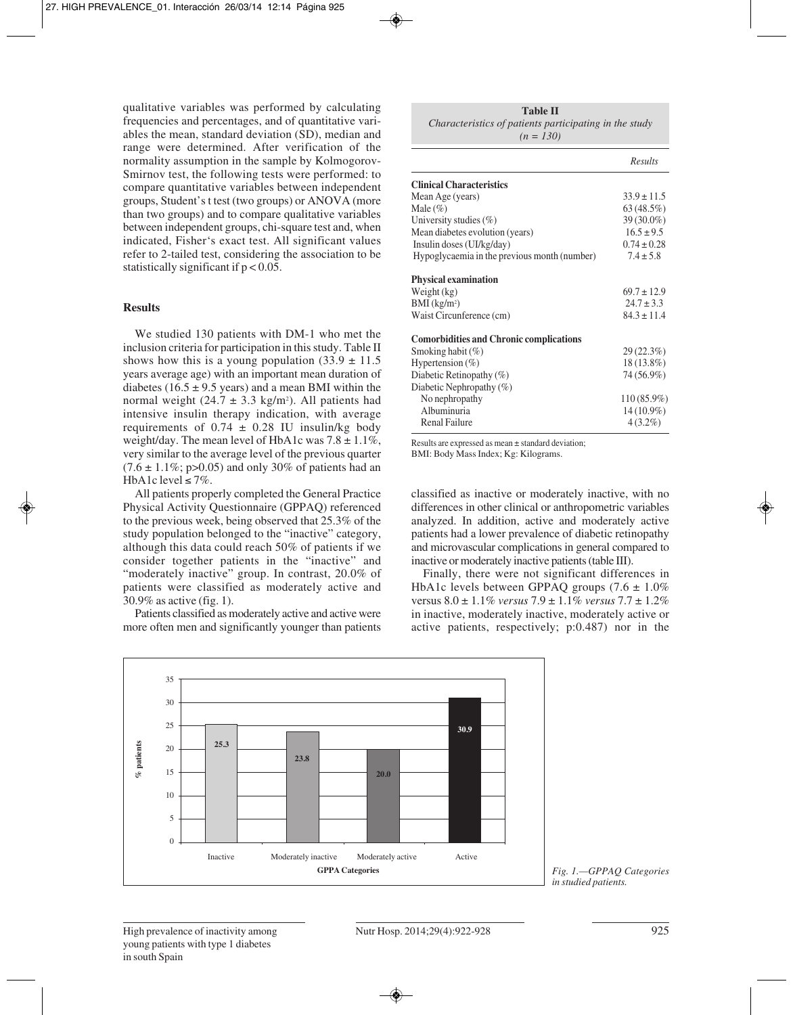qualitative variables was performed by calculating frequencies and percentages, and of quantitative variables the mean, standard deviation (SD), median and range were determined. After verification of the normality assumption in the sample by Kolmogorov-Smirnov test, the following tests were performed: to compare quantitative variables between independent groups, Student's t test (two groups) or ANOVA (more than two groups) and to compare qualitative variables between independent groups, chi-square test and, when indicated, Fisher's exact test. All significant values refer to 2-tailed test, considering the association to be statistically significant if  $p < 0.05$ .

## **Results**

We studied 130 patients with DM-1 who met the inclusion criteria for participation in this study. Table II shows how this is a young population  $(33.9 \pm 11.5$ years average age) with an important mean duration of diabetes (16.5  $\pm$  9.5 years) and a mean BMI within the normal weight  $(24.7 \pm 3.3 \text{ kg/m}^2)$ . All patients had intensive insulin therapy indication, with average requirements of  $0.74 \pm 0.28$  IU insulin/kg body weight/day. The mean level of HbA1c was  $7.8 \pm 1.1\%$ , very similar to the average level of the previous quarter  $(7.6 \pm 1.1\%; \text{ p}$  > 0.05) and only 30% of patients had an HbA1c level  $\leq 7\%$ .

All patients properly completed the General Practice Physical Activity Questionnaire (GPPAQ) referenced to the previous week, being observed that 25.3% of the study population belonged to the "inactive" category, although this data could reach 50% of patients if we consider together patients in the "inactive" and "moderately inactive" group. In contrast, 20.0% of patients were classified as moderately active and 30.9% as active (fig. 1).

Patients classified as moderately active and active were more often men and significantly younger than patients

| <b>Table II</b>                                        |  |  |  |  |  |
|--------------------------------------------------------|--|--|--|--|--|
| Characteristics of patients participating in the study |  |  |  |  |  |
| $(n = 130)$                                            |  |  |  |  |  |

|                                                | Results         |
|------------------------------------------------|-----------------|
| <b>Clinical Characteristics</b>                |                 |
| Mean Age (years)                               | $33.9 \pm 11.5$ |
| Male $(\%)$                                    | 63 (48.5%)      |
| University studies $(\%)$                      | 39 (30.0%)      |
| Mean diabetes evolution (years)                | $16.5 \pm 9.5$  |
| Insulin doses (UI/kg/day)                      | $0.74 \pm 0.28$ |
| Hypoglycaemia in the previous month (number)   | $7.4 \pm 5.8$   |
| <b>Physical examination</b>                    |                 |
| Weight (kg)                                    | $69.7 \pm 12.9$ |
| $BMI$ (kg/m <sup>2</sup> )                     | $24.7 \pm 3.3$  |
| Waist Circunference (cm)                       | $84.3 \pm 11.4$ |
| <b>Comorbidities and Chronic complications</b> |                 |
| Smoking habit (%)                              | 29(22.3%)       |
| Hypertension $(\%)$                            | $18(13.8\%)$    |
| Diabetic Retinopathy $(\%)$                    | 74 (56.9%)      |
| Diabetic Nephropathy (%)                       |                 |
| No nephropathy                                 | $110(85.9\%)$   |
| Albuminuria                                    | 14 (10.9%)      |
| <b>Renal Failure</b>                           | $4(3.2\%)$      |

Results are expressed as mean ± standard deviation;

BMI: Body Mass Index; Kg: Kilograms.

classified as inactive or moderately inactive, with no differences in other clinical or anthropometric variables analyzed. In addition, active and moderately active patients had a lower prevalence of diabetic retinopathy and microvascular complications in general compared to inactive or moderately inactive patients (table III).

Finally, there were not significant differences in HbA1c levels between GPPAQ groups  $(7.6 \pm 1.0\%)$ versus 8.0 ± 1.1% *versus* 7.9 ± 1.1% *versus* 7.7 ± 1.2% in inactive, moderately inactive, moderately active or active patients, respectively; p:0.487) nor in the



*Fig. 1.—GPPAQ Categories in studied patients.*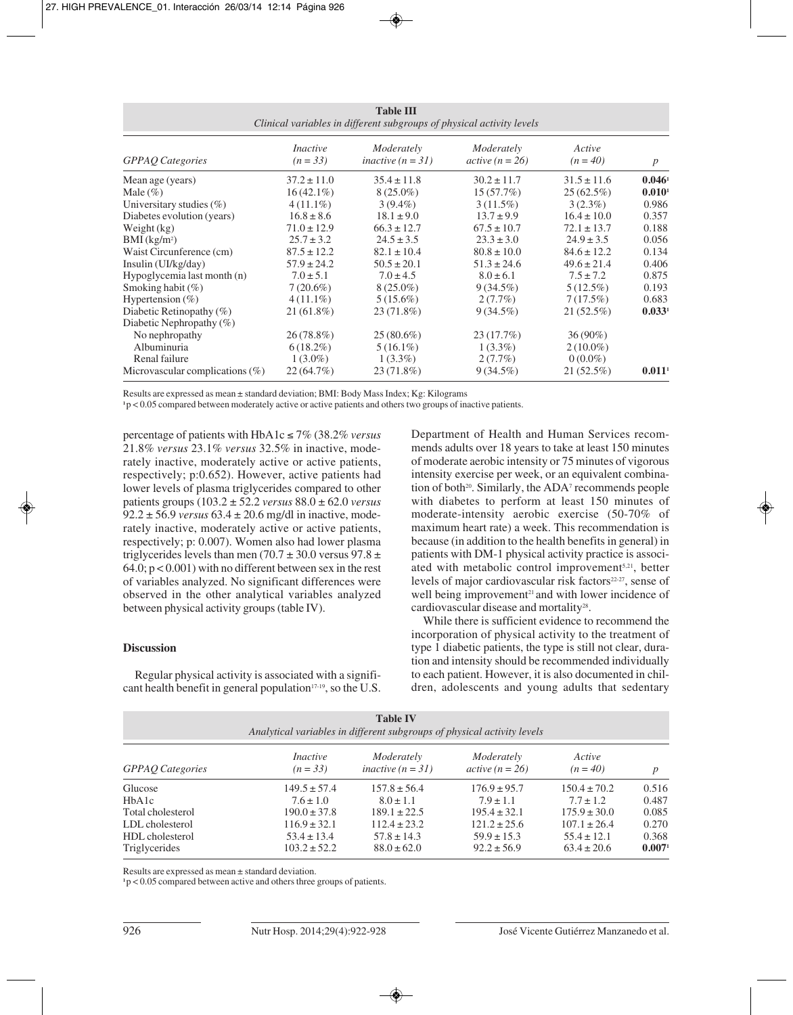| <b>Table III</b><br>Clinical variables in different subgroups of physical activity levels |                               |                                   |                                 |                      |                      |  |
|-------------------------------------------------------------------------------------------|-------------------------------|-----------------------------------|---------------------------------|----------------------|----------------------|--|
| <b>GPPAQ</b> Categories                                                                   | <i>Inactive</i><br>$(n = 33)$ | Moderately<br>inactive $(n = 31)$ | Moderately<br>$active (n = 26)$ | Active<br>$(n = 40)$ | $\boldsymbol{p}$     |  |
| Mean age (years)                                                                          | $37.2 \pm 11.0$               | $35.4 \pm 11.8$                   | $30.2 \pm 11.7$                 | $31.5 \pm 11.6$      | 0.046 <sup>1</sup>   |  |
| Male $(\% )$                                                                              | $16(42.1\%)$                  | $8(25.0\%)$                       | 15(57.7%)                       | $25(62.5\%)$         | $0.010$ <sup>1</sup> |  |
| Universitary studies $(\%)$                                                               | $4(11.1\%)$                   | $3(9.4\%)$                        | $3(11.5\%)$                     | $3(2.3\%)$           | 0.986                |  |
| Diabetes evolution (years)                                                                | $16.8 \pm 8.6$                | $18.1 \pm 9.0$                    | $13.7 \pm 9.9$                  | $16.4 \pm 10.0$      | 0.357                |  |
| Weight (kg)                                                                               | $71.0 \pm 12.9$               | $66.3 \pm 12.7$                   | $67.5 \pm 10.7$                 | $72.1 \pm 13.7$      | 0.188                |  |
| $BMI$ (kg/m <sup>2</sup> )                                                                | $25.7 \pm 3.2$                | $24.5 \pm 3.5$                    | $23.3 \pm 3.0$                  | $24.9 \pm 3.5$       | 0.056                |  |
| Waist Circunference (cm)                                                                  | $87.5 \pm 12.2$               | $82.1 \pm 10.4$                   | $80.8 \pm 10.0$                 | $84.6 \pm 12.2$      | 0.134                |  |
| Insulin (UI/kg/day)                                                                       | $57.9 \pm 24.2$               | $50.5 \pm 20.1$                   | $51.3 \pm 24.6$                 | $49.6 \pm 21.4$      | 0.406                |  |
| Hypoglycemia last month (n)                                                               | $7.0 \pm 5.1$                 | $7.0 \pm 4.5$                     | $8.0 \pm 6.1$                   | $7.5 \pm 7.2$        | 0.875                |  |
| Smoking habit $(\%)$                                                                      | $7(20.6\%)$                   | $8(25.0\%)$                       | $9(34.5\%)$                     | $5(12.5\%)$          | 0.193                |  |
| Hypertension $(\%)$                                                                       | $4(11.1\%)$                   | $5(15.6\%)$                       | $2(7.7\%)$                      | 7(17.5%)             | 0.683                |  |
| Diabetic Retinopathy $(\%)$                                                               | $21(61.8\%)$                  | 23 (71.8%)                        | $9(34.5\%)$                     | 21 (52.5%)           | 0.033 <sup>1</sup>   |  |
| Diabetic Nephropathy $(\%)$                                                               |                               |                                   |                                 |                      |                      |  |
| No nephropathy                                                                            | $26(78.8\%)$                  | $25(80.6\%)$                      | 23(17.7%)                       | $36(90\%)$           |                      |  |
| Albuminuria                                                                               | $6(18.2\%)$                   | $5(16.1\%)$                       | $1(3.3\%)$                      | $2(10.0\%)$          |                      |  |
| Renal failure                                                                             | $1(3.0\%)$                    | $1(3.3\%)$                        | $2(7.7\%)$                      | $0(0.0\%)$           |                      |  |
| Microvascular complications $(\%)$                                                        | $22(64.7\%)$                  | 23 (71.8%)                        | $9(34.5\%)$                     | $21(52.5\%)$         | $0.011$ <sup>1</sup> |  |

Results are expressed as mean ± standard deviation; BMI: Body Mass Index; Kg: Kilograms

**<sup>1</sup>**p < 0.05 compared between moderately active or active patients and others two groups of inactive patients.

percentage of patients with HbA1c ≤ 7% (38.2% *versus* 21.8% *versus* 23.1% *versus* 32.5% in inactive, mode rately inactive, moderately active or active patients, respectively; p:0.652). However, active patients had lower levels of plasma triglycerides compared to other patients groups (103.2 ± 52.2 *versus* 88.0 ± 62.0 *versus*  $92.2 \pm 56.9$  *versus*  $63.4 \pm 20.6$  mg/dl in inactive, moderately inactive, moderately active or active patients, respectively; p: 0.007). Women also had lower plasma triglycerides levels than men (70.7  $\pm$  30.0 versus 97.8  $\pm$  $64.0$ ;  $p < 0.001$ ) with no different between sex in the rest of variables analyzed. No significant differences were observed in the other analytical variables analyzed between physical activity groups (table IV).

# **Discussion**

Regular physical activity is associated with a significant health benefit in general population<sup> $17-19$ </sup>, so the U.S. Department of Health and Human Services recommends adults over 18 years to take at least 150 minutes of moderate aerobic intensity or 75 minutes of vigorous intensity exercise per week, or an equivalent combination of both<sup>20</sup>. Similarly, the ADA<sup>7</sup> recommends people with diabetes to perform at least 150 minutes of moderate-intensity aerobic exercise (50-70% of maximum heart rate) a week. This recommendation is because (in addition to the health benefits in general) in patients with DM-1 physical activity practice is associated with metabolic control improvement<sup>5,21</sup>, better levels of major cardiovascular risk factors<sup>22-27</sup>, sense of well being improvement<sup>21</sup> and with lower incidence of cardiovascular disease and mortality<sup>28</sup>.

While there is sufficient evidence to recommend the incorporation of physical activity to the treatment of type 1 diabetic patients, the type is still not clear, duration and intensity should be recommended individually to each patient. However, it is also documented in children, adolescents and young adults that sedentary

| <b>Table IV</b><br>Analytical variables in different subgroups of physical activity levels |                               |                                   |                                 |                      |                    |  |  |
|--------------------------------------------------------------------------------------------|-------------------------------|-----------------------------------|---------------------------------|----------------------|--------------------|--|--|
| <b>GPPAO</b> Categories                                                                    | <i>Inactive</i><br>$(n = 33)$ | Moderately<br>inactive $(n = 31)$ | Moderately<br>$active (n = 26)$ | Active<br>$(n = 40)$ | $\boldsymbol{p}$   |  |  |
| Glucose                                                                                    | $149.5 \pm 57.4$              | $157.8 \pm 56.4$                  | $176.9 \pm 95.7$                | $150.4 \pm 70.2$     | 0.516              |  |  |
| HbA <sub>1</sub> c                                                                         | $7.6 \pm 1.0$                 | $8.0 \pm 1.1$                     | $7.9 \pm 1.1$                   | $7.7 \pm 1.2$        | 0.487              |  |  |
| Total cholesterol                                                                          | $190.0 \pm 37.8$              | $189.1 \pm 22.5$                  | $195.4 \pm 32.1$                | $175.9 \pm 30.0$     | 0.085              |  |  |
| LDL cholesterol                                                                            | $116.9 \pm 32.1$              | $112.4 \pm 23.2$                  | $121.2 \pm 25.6$                | $107.1 \pm 26.4$     | 0.270              |  |  |
| HDL cholesterol                                                                            | $53.4 \pm 13.4$               | $57.8 \pm 14.3$                   | $59.9 \pm 15.3$                 | $55.4 \pm 12.1$      | 0.368              |  |  |
| Triglycerides                                                                              | $103.2 \pm 52.2$              | $88.0 \pm 62.0$                   | $92.2 \pm 56.9$                 | $63.4 \pm 20.6$      | 0.007 <sup>1</sup> |  |  |

Results are expressed as mean ± standard deviation.

**<sup>1</sup>**p < 0.05 compared between active and others three groups of patients.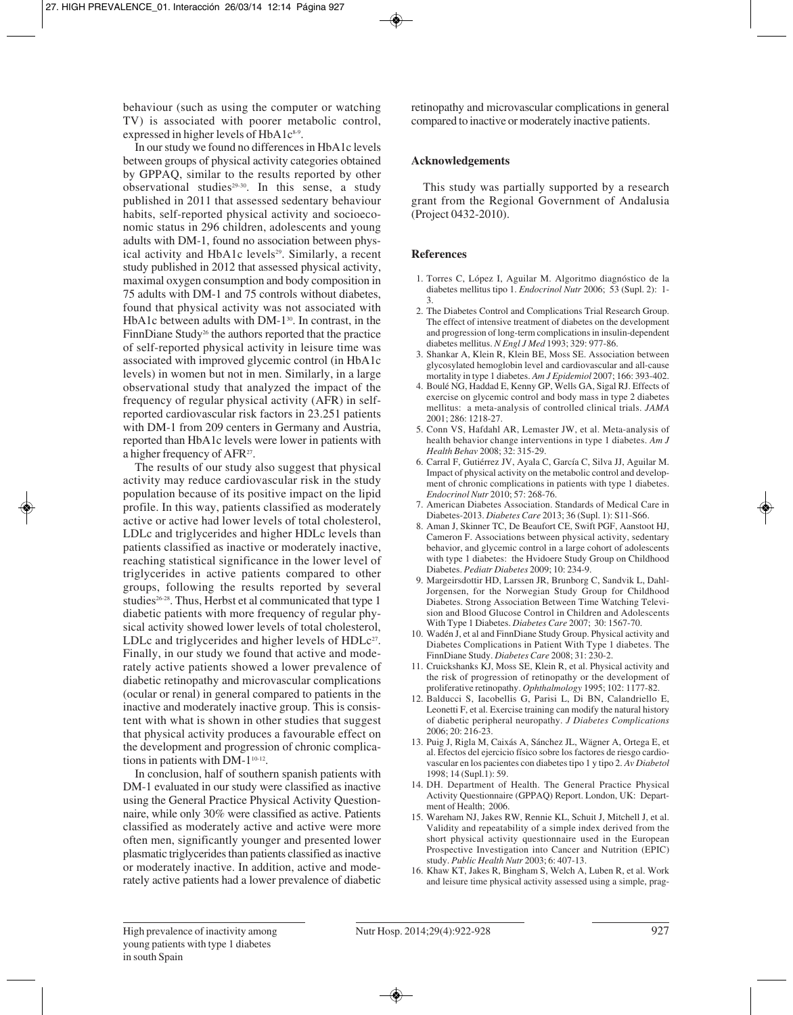behaviour (such as using the computer or watching TV) is associated with poorer metabolic control, expressed in higher levels of HbA1c<sup>8.9</sup>.

In our study we found no differences in HbA1c levels between groups of physical activity categories obtained by GPPAQ, similar to the results reported by other observational studies<sup>29-30</sup>. In this sense, a study published in 2011 that assessed sedentary behaviour habits, self-reported physical activity and socioeconomic status in 296 children, adolescents and young adults with DM-1, found no association between physical activity and HbA1c levels<sup>29</sup>. Similarly, a recent study published in 2012 that assessed physical activity, maximal oxygen consumption and body composition in 75 adults with DM-1 and 75 controls without diabetes, found that physical activity was not associated with HbA1c between adults with DM-1<sup>30</sup>. In contrast, in the FinnDiane Study<sup>26</sup> the authors reported that the practice of self-reported physical activity in leisure time was associated with improved glycemic control (in HbA1c levels) in women but not in men. Similarly, in a large observational study that analyzed the impact of the frequency of regular physical activity (AFR) in selfreported cardiovascular risk factors in 23.251 patients with DM-1 from 209 centers in Germany and Austria, reported than HbA1c levels were lower in patients with a higher frequency of AFR27.

The results of our study also suggest that physical activity may reduce cardiovascular risk in the study population because of its positive impact on the lipid profile. In this way, patients classified as moderately active or active had lower levels of total cholesterol, LDLc and triglycerides and higher HDLc levels than patients classified as inactive or moderately inactive, reaching statistical significance in the lower level of triglycerides in active patients compared to other groups, following the results reported by several studies<sup>26-28</sup>. Thus, Herbst et al communicated that type 1 diabetic patients with more frequency of regular physical activity showed lower levels of total cholesterol, LDLc and triglycerides and higher levels of  $HDLc^{27}$ . Finally, in our study we found that active and moderately active patients showed a lower prevalence of diabetic retinopathy and microvascular complications (ocular or renal) in general compared to patients in the inactive and moderately inactive group. This is consistent with what is shown in other studies that suggest that physical activity produces a favourable effect on the development and progression of chronic complications in patients with DM-1<sup>10-12</sup>.

In conclusion, half of southern spanish patients with DM-1 evaluated in our study were classified as inactive using the General Practice Physical Activity Questionnaire, while only 30% were classified as active. Patients classified as moderately active and active were more often men, significantly younger and presented lower plasmatic triglycerides than patients classified as inactive or moderately inactive. In addition, active and mode rately active patients had a lower prevalence of diabetic

retinopathy and microvascular complications in general compared to inactive or moderately inactive patients.

# **Acknowledgements**

This study was partially supported by a research grant from the Regional Government of Andalusia (Project 0432-2010).

# **References**

- 1. Torres C, López I, Aguilar M. Algoritmo diagnóstico de la diabetes mellitus tipo 1. *Endocrinol Nutr* 2006; 53 (Supl. 2): 1- 3.
- 2. The Diabetes Control and Complications Trial Research Group. The effect of intensive treatment of diabetes on the development and progression of long-term complications in insulin-dependent diabetes mellitus. *N Engl J Med* 1993; 329: 977-86.
- 3. Shankar A, Klein R, Klein BE, Moss SE. Association between glycosylated hemoglobin level and cardiovascular and all-cause mortality in type 1 diabetes. *Am J Epidemiol* 2007; 166: 393-402.
- 4. Boulé NG, Haddad E, Kenny GP, Wells GA, Sigal RJ. Effects of exercise on glycemic control and body mass in type 2 diabetes mellitus: a meta-analysis of controlled clinical trials. *JAMA* 2001; 286: 1218-27.
- 5. Conn VS, Hafdahl AR, Lemaster JW, et al. Meta-analysis of health behavior change interventions in type 1 diabetes. *Am J Health Behav* 2008; 32: 315-29.
- 6. Carral F, Gutiérrez JV, Ayala C, García C, Silva JJ, Aguilar M. Impact of physical activity on the metabolic control and development of chronic complications in patients with type 1 diabetes. *Endocrinol Nutr* 2010; 57: 268-76.
- 7. American Diabetes Association. Standards of Medical Care in Diabetes-2013. *Diabetes Care* 2013; 36 (Supl. 1): S11-S66.
- 8. Aman J, Skinner TC, De Beaufort CE, Swift PGF, Aanstoot HJ, Cameron F. Associations between physical activity, sedentary behavior, and glycemic control in a large cohort of adolescents with type 1 diabetes: the Hvidoere Study Group on Childhood Diabetes. *Pediatr Diabetes* 2009; 10: 234-9.
- 9. Margeirsdottir HD, Larssen JR, Brunborg C, Sandvik L, Dahl-Jorgensen, for the Norwegian Study Group for Childhood Diabetes. Strong Association Between Time Watching Television and Blood Glucose Control in Children and Adolescents With Type 1 Diabetes. *Diabetes Care* 2007; 30: 1567-70.
- 10. Wadén J, et al and FinnDiane Study Group. Physical activity and Diabetes Complications in Patient With Type 1 diabetes. The FinnDiane Study. *Diabetes Care* 2008; 31: 230-2.
- 11. Cruickshanks KJ, Moss SE, Klein R, et al. Physical activity and the risk of progression of retinopathy or the development of proliferative retinopathy. *Ophthalmology* 1995; 102: 1177-82.
- 12. Balducci S, Iacobellis G, Parisi L, Di BN, Calandriello E, Leonetti F, et al. Exercise training can modify the natural history of diabetic peripheral neuropathy. *J Diabetes Complications* 2006; 20: 216-23.
- 13. Puig J, Rigla M, Caixás A, Sánchez JL, Wägner A, Ortega E, et al. Efectos del ejercicio físico sobre los factores de riesgo cardiovascular en los pacientes con diabetes tipo 1 y tipo 2. *Av Diabetol* 1998; 14 (Supl.1): 59.
- 14. DH. Department of Health. The General Practice Physical Activity Questionnaire (GPPAQ) Report. London, UK: Department of Health; 2006.
- 15. Wareham NJ, Jakes RW, Rennie KL, Schuit J, Mitchell J, et al. Validity and repeatability of a simple index derived from the short physical activity questionnaire used in the European Prospective Investigation into Cancer and Nutrition (EPIC) study. *Public Health Nutr* 2003; 6: 407-13.
- 16. Khaw KT, Jakes R, Bingham S, Welch A, Luben R, et al. Work and leisure time physical activity assessed using a simple, prag-